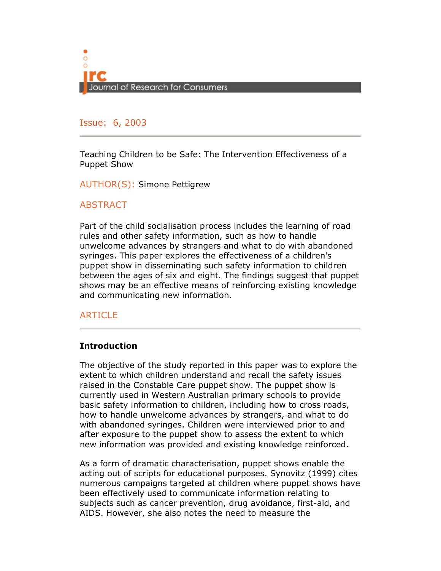

#### Issue: 6, 2005 Issue: 6, 2003

Teaching Children to be Safe: The Intervention Effectiveness of a Puppet Show

AUTHOR(S): Simone Pettigrew

#### **ABSTRACT**

Part of the child socialisation process includes the learning of road rules and other safety information, such as how to handle unwelcome advances by strangers and what to do with abandoned syringes. This paper explores the effectiveness of a children's puppet show in disseminating such safety information to children between the ages of six and eight. The findings suggest that puppet shows may be an effective means of reinforcing existing knowledge and communicating new information.

## ARTICLE

#### **Introduction**

The objective of the study reported in this paper was to explore the extent to which children understand and recall the safety issues raised in the Constable Care puppet show. The puppet show is currently used in Western Australian primary schools to provide basic safety information to children, including how to cross roads, how to handle unwelcome advances by strangers, and what to do with abandoned syringes. Children were interviewed prior to and after exposure to the puppet show to assess the extent to which new information was provided and existing knowledge reinforced.

As a form of dramatic characterisation, puppet shows enable the acting out of scripts for educational purposes. Synovitz (1999) cites numerous campaigns targeted at children where puppet shows have been effectively used to communicate information relating to subjects such as cancer prevention, drug avoidance, first-aid, and AIDS. However, she also notes the need to measure the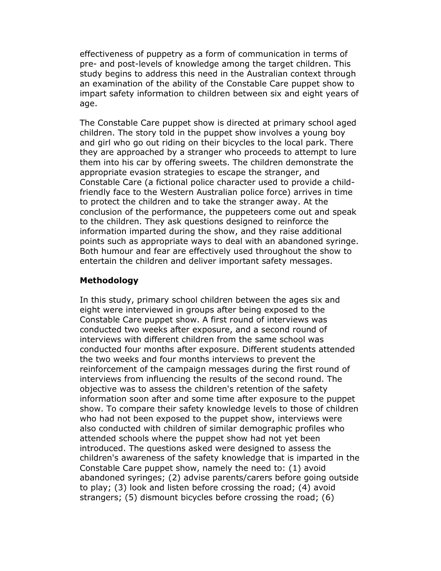effectiveness of puppetry as a form of communication in terms of pre- and post-levels of knowledge among the target children. This study begins to address this need in the Australian context through an examination of the ability of the Constable Care puppet show to impart safety information to children between six and eight years of age.

The Constable Care puppet show is directed at primary school aged children. The story told in the puppet show involves a young boy and girl who go out riding on their bicycles to the local park. There they are approached by a stranger who proceeds to attempt to lure them into his car by offering sweets. The children demonstrate the appropriate evasion strategies to escape the stranger, and Constable Care (a fictional police character used to provide a childfriendly face to the Western Australian police force) arrives in time to protect the children and to take the stranger away. At the conclusion of the performance, the puppeteers come out and speak to the children. They ask questions designed to reinforce the information imparted during the show, and they raise additional points such as appropriate ways to deal with an abandoned syringe. Both humour and fear are effectively used throughout the show to entertain the children and deliver important safety messages.

#### Methodology

In this study, primary school children between the ages six and eight were interviewed in groups after being exposed to the Constable Care puppet show. A first round of interviews was conducted two weeks after exposure, and a second round of interviews with different children from the same school was conducted four months after exposure. Different students attended the two weeks and four months interviews to prevent the reinforcement of the campaign messages during the first round of interviews from influencing the results of the second round. The objective was to assess the children's retention of the safety information soon after and some time after exposure to the puppet show. To compare their safety knowledge levels to those of children who had not been exposed to the puppet show, interviews were also conducted with children of similar demographic profiles who attended schools where the puppet show had not yet been introduced. The questions asked were designed to assess the children's awareness of the safety knowledge that is imparted in the Constable Care puppet show, namely the need to: (1) avoid abandoned syringes; (2) advise parents/carers before going outside to play; (3) look and listen before crossing the road; (4) avoid strangers; (5) dismount bicycles before crossing the road; (6)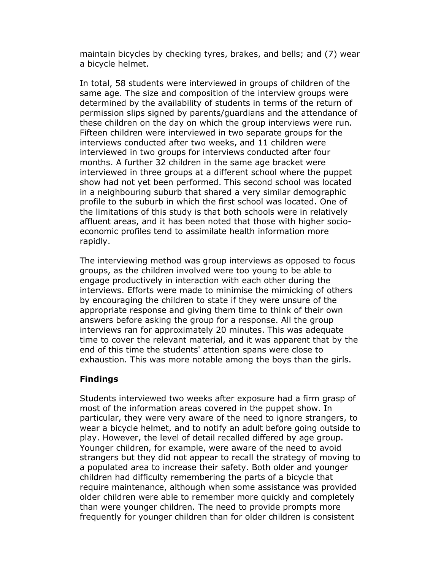maintain bicycles by checking tyres, brakes, and bells; and (7) wear a bicycle helmet.

In total, 58 students were interviewed in groups of children of the same age. The size and composition of the interview groups were determined by the availability of students in terms of the return of permission slips signed by parents/guardians and the attendance of these children on the day on which the group interviews were run. Fifteen children were interviewed in two separate groups for the interviews conducted after two weeks, and 11 children were interviewed in two groups for interviews conducted after four months. A further 32 children in the same age bracket were interviewed in three groups at a different school where the puppet show had not yet been performed. This second school was located in a neighbouring suburb that shared a very similar demographic profile to the suburb in which the first school was located. One of the limitations of this study is that both schools were in relatively affluent areas, and it has been noted that those with higher socioeconomic profiles tend to assimilate health information more rapidly.

The interviewing method was group interviews as opposed to focus groups, as the children involved were too young to be able to engage productively in interaction with each other during the interviews. Efforts were made to minimise the mimicking of others by encouraging the children to state if they were unsure of the appropriate response and giving them time to think of their own answers before asking the group for a response. All the group interviews ran for approximately 20 minutes. This was adequate time to cover the relevant material, and it was apparent that by the end of this time the students' attention spans were close to exhaustion. This was more notable among the boys than the girls.

## Findings

Students interviewed two weeks after exposure had a firm grasp of most of the information areas covered in the puppet show. In particular, they were very aware of the need to ignore strangers, to wear a bicycle helmet, and to notify an adult before going outside to play. However, the level of detail recalled differed by age group. Younger children, for example, were aware of the need to avoid strangers but they did not appear to recall the strategy of moving to a populated area to increase their safety. Both older and younger children had difficulty remembering the parts of a bicycle that require maintenance, although when some assistance was provided older children were able to remember more quickly and completely than were younger children. The need to provide prompts more frequently for younger children than for older children is consistent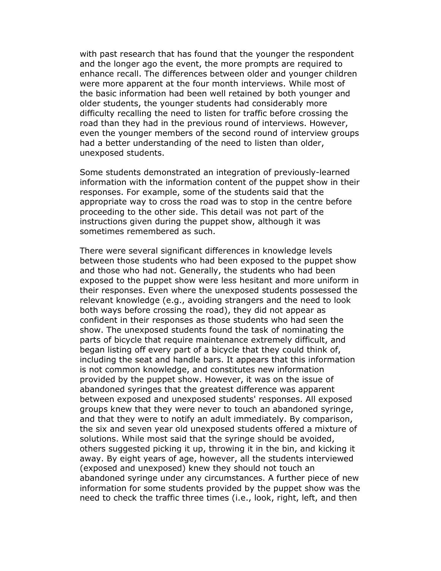with past research that has found that the younger the respondent and the longer ago the event, the more prompts are required to enhance recall. The differences between older and younger children were more apparent at the four month interviews. While most of the basic information had been well retained by both younger and older students, the younger students had considerably more difficulty recalling the need to listen for traffic before crossing the road than they had in the previous round of interviews. However, even the younger members of the second round of interview groups had a better understanding of the need to listen than older, unexposed students.

Some students demonstrated an integration of previously-learned information with the information content of the puppet show in their responses. For example, some of the students said that the appropriate way to cross the road was to stop in the centre before proceeding to the other side. This detail was not part of the instructions given during the puppet show, although it was sometimes remembered as such.

There were several significant differences in knowledge levels between those students who had been exposed to the puppet show and those who had not. Generally, the students who had been exposed to the puppet show were less hesitant and more uniform in their responses. Even where the unexposed students possessed the relevant knowledge (e.g., avoiding strangers and the need to look both ways before crossing the road), they did not appear as confident in their responses as those students who had seen the show. The unexposed students found the task of nominating the parts of bicycle that require maintenance extremely difficult, and began listing off every part of a bicycle that they could think of, including the seat and handle bars. It appears that this information is not common knowledge, and constitutes new information provided by the puppet show. However, it was on the issue of abandoned syringes that the greatest difference was apparent between exposed and unexposed students' responses. All exposed groups knew that they were never to touch an abandoned syringe, and that they were to notify an adult immediately. By comparison, the six and seven year old unexposed students offered a mixture of solutions. While most said that the syringe should be avoided, others suggested picking it up, throwing it in the bin, and kicking it away. By eight years of age, however, all the students interviewed (exposed and unexposed) knew they should not touch an abandoned syringe under any circumstances. A further piece of new information for some students provided by the puppet show was the need to check the traffic three times (i.e., look, right, left, and then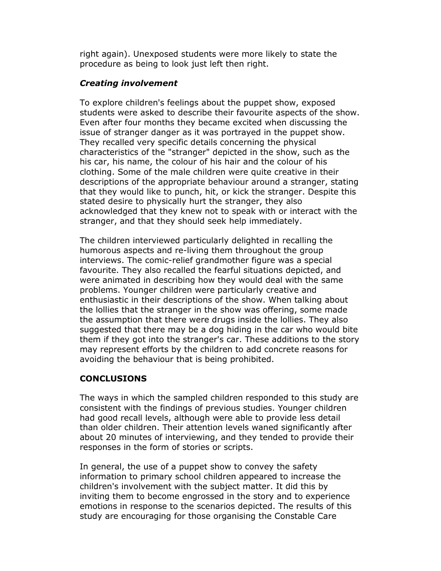right again). Unexposed students were more likely to state the procedure as being to look just left then right.

## Creating involvement

To explore children's feelings about the puppet show, exposed students were asked to describe their favourite aspects of the show. Even after four months they became excited when discussing the issue of stranger danger as it was portrayed in the puppet show. They recalled very specific details concerning the physical characteristics of the "stranger" depicted in the show, such as the his car, his name, the colour of his hair and the colour of his clothing. Some of the male children were quite creative in their descriptions of the appropriate behaviour around a stranger, stating that they would like to punch, hit, or kick the stranger. Despite this stated desire to physically hurt the stranger, they also acknowledged that they knew not to speak with or interact with the stranger, and that they should seek help immediately.

The children interviewed particularly delighted in recalling the humorous aspects and re-living them throughout the group interviews. The comic-relief grandmother figure was a special favourite. They also recalled the fearful situations depicted, and were animated in describing how they would deal with the same problems. Younger children were particularly creative and enthusiastic in their descriptions of the show. When talking about the lollies that the stranger in the show was offering, some made the assumption that there were drugs inside the lollies. They also suggested that there may be a dog hiding in the car who would bite them if they got into the stranger's car. These additions to the story may represent efforts by the children to add concrete reasons for avoiding the behaviour that is being prohibited.

# CONCLUSIONS

The ways in which the sampled children responded to this study are consistent with the findings of previous studies. Younger children had good recall levels, although were able to provide less detail than older children. Their attention levels waned significantly after about 20 minutes of interviewing, and they tended to provide their responses in the form of stories or scripts.

In general, the use of a puppet show to convey the safety information to primary school children appeared to increase the children's involvement with the subject matter. It did this by inviting them to become engrossed in the story and to experience emotions in response to the scenarios depicted. The results of this study are encouraging for those organising the Constable Care